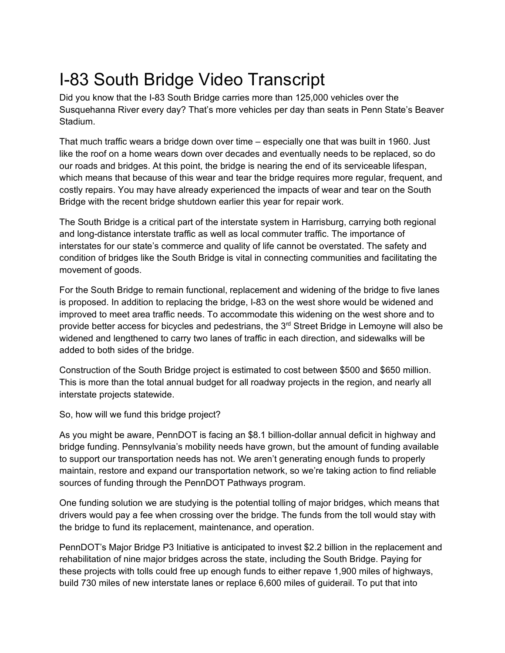## I-83 South Bridge Video Transcript

Did you know that the I-83 South Bridge carries more than 125,000 vehicles over the Susquehanna River every day? That's more vehicles per day than seats in Penn State's Beaver Stadium.

That much traffic wears a bridge down over time – especially one that was built in 1960. Just like the roof on a home wears down over decades and eventually needs to be replaced, so do our roads and bridges. At this point, the bridge is nearing the end of its serviceable lifespan, which means that because of this wear and tear the bridge requires more regular, frequent, and costly repairs. You may have already experienced the impacts of wear and tear on the South Bridge with the recent bridge shutdown earlier this year for repair work.

The South Bridge is a critical part of the interstate system in Harrisburg, carrying both regional and long-distance interstate traffic as well as local commuter traffic. The importance of interstates for our state's commerce and quality of life cannot be overstated. The safety and condition of bridges like the South Bridge is vital in connecting communities and facilitating the movement of goods.

For the South Bridge to remain functional, replacement and widening of the bridge to five lanes is proposed. In addition to replacing the bridge, I-83 on the west shore would be widened and improved to meet area traffic needs. To accommodate this widening on the west shore and to provide better access for bicycles and pedestrians, the  $3<sup>rd</sup>$  Street Bridge in Lemoyne will also be widened and lengthened to carry two lanes of traffic in each direction, and sidewalks will be added to both sides of the bridge.

Construction of the South Bridge project is estimated to cost between \$500 and \$650 million. This is more than the total annual budget for all roadway projects in the region, and nearly all interstate projects statewide.

So, how will we fund this bridge project?

As you might be aware, PennDOT is facing an \$8.1 billion-dollar annual deficit in highway and bridge funding. Pennsylvania's mobility needs have grown, but the amount of funding available to support our transportation needs has not. We aren't generating enough funds to properly maintain, restore and expand our transportation network, so we're taking action to find reliable sources of funding through the PennDOT Pathways program.

One funding solution we are studying is the potential tolling of major bridges, which means that drivers would pay a fee when crossing over the bridge. The funds from the toll would stay with the bridge to fund its replacement, maintenance, and operation.

PennDOT's Major Bridge P3 Initiative is anticipated to invest \$2.2 billion in the replacement and rehabilitation of nine major bridges across the state, including the South Bridge. Paying for these projects with tolls could free up enough funds to either repave 1,900 miles of highways, build 730 miles of new interstate lanes or replace 6,600 miles of guiderail. To put that into